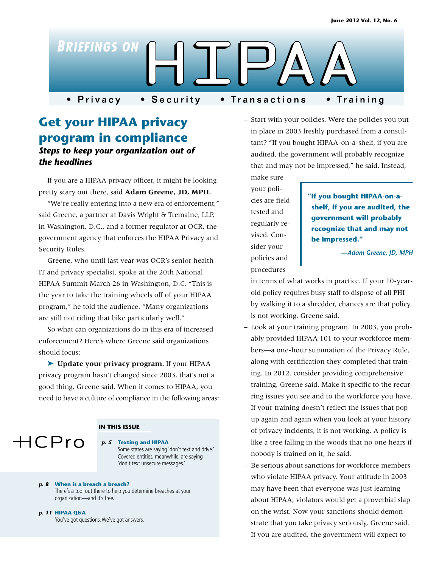

# **Get your HIPAA privacy program in compliance** *Steps to keep your organization out of the headlines*

If you are a HIPAA privacy officer, it might be looking pretty scary out there, said **Adam Greene, JD, MPH.**

"We're really entering into a new era of enforcement," said Greene, a partner at Davis Wright & Tremaine, LLP, in Washington, D.C., and a former regulator at OCR, the government agency that enforces the HIPAA Privacy and Security Rules.

Greene, who until last year was OCR's senior health IT and privacy specialist, spoke at the 20th National HIPAA Summit March 26 in Washington, D.C. "This is the year to take the training wheels off of your HIPAA program," he told the audience. "Many organizations are still not riding that bike particularly well."

So what can organizations do in this era of increased enforcement? Here's where Greene said organizations should focus:

➤ **Update your privacy program.** If your HIPAA privacy program hasn't changed since 2003, that's not a good thing, Greene said. When it comes to HIPAA, you need to have a culture of compliance in the following areas:

#### **IN THIS ISSUE**



#### *p. 5* **Texting and HIPAA**

Some states are saying 'don't text and drive.' Covered entities, meanwhile, are saying 'don't text unsecure messages.'

*p. 8* **When is a breach a breach?**  There's a tool out there to help you determine breaches at your organization—and it's free.

#### *p. 11* **HIPAA Q&A**

You've got questions. We've got answers.

– Start with your policies. Were the policies you put in place in 2003 freshly purchased from a consultant? "If you bought HIPAA-on-a-shelf, if you are audited, the government will probably recognize that and may not be impressed," he said. Instead,

make sure your policies are field tested and regularly revised. Consider your policies and procedures

# **"If you bought HIPAA-on-ashelf, if you are audited, the government will probably recognize that and may not be impressed."**

*—Adam Greene, JD, MPH*

in terms of what works in practice. If your 10-yearold policy requires busy staff to dispose of all PHI by walking it to a shredder, chances are that policy is not working, Greene said.

- Look at your training program. In 2003, you probably provided HIPAA 101 to your workforce members—a one-hour summation of the Privacy Rule, along with certification they completed that training. In 2012, consider providing comprehensive training, Greene said. Make it specific to the recurring issues you see and to the workforce you have. If your training doesn't reflect the issues that pop up again and again when you look at your history of privacy incidents, it is not working. A policy is like a tree falling in the woods that no one hears if nobody is trained on it, he said.
- Be serious about sanctions for workforce members who violate HIPAA privacy. Your attitude in 2003 may have been that everyone was just learning about HIPAA; violators would get a proverbial slap on the wrist. Now your sanctions should demonstrate that you take privacy seriously, Greene said. If you are audited, the government will expect to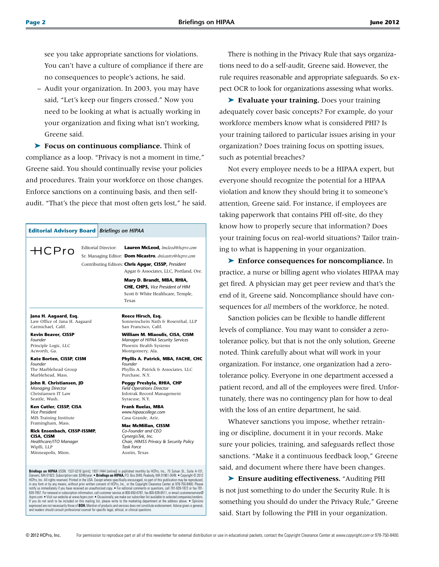see you take appropriate sanctions for violations. You can't have a culture of compliance if there are no consequences to people's actions, he said.

– Audit your organization. In 2003, you may have said, "Let's keep our fingers crossed." Now you need to be looking at what is actually working in your organization and fixing what isn't working, Greene said.

➤ **Focus on continuous compliance.** Think of compliance as a loop. "Privacy is not a moment in time," Greene said. You should continually revise your policies and procedures. Train your workforce on those changes. Enforce sanctions on a continuing basis, and then selfaudit. "That's the piece that most often gets lost," he said.

# **Editorial Advisory Board** *Briefings on HIPAA*

Editorial Director: **Lauren McLeod,** *lmcleod@hcpro.com* Sr. Managing Editor: **Dom Nicastro**, *dnicastro@hcpro.com* Contributing Editors: **Chris Apgar, CISSP,** *President* Apgar & Associates, LLC, Portland, Ore. **Mary D. Brandt, MBA, RHIA,** 

**CHE, CHPS,** *Vice President of HIM*  Scott & White Healthcare, Temple, Texas

#### **Jana H. Aagaard, Esq.** Law Office of Jana H. Aagaard Carmichael, Calif.

**Kevin Beaver, CISSP** *Founder* Principle Logic, LLC Acworth, Ga.

 $HCPro$ 

**Kate Borten, CISSP, CISM** *Founder* The Marblehead Group Marblehead, Mass.

**John R. Christiansen, JD** *Managing Director* Christiansen IT Law Seattle, Wash.

**Ken Cutler, CISSP, CISA** *Vice President*  MIS Training Institute Framingham, Mass.

**Rick Ensenbach, CISSP-ISSMP, CISA, CISM** *Healthcare/ITO Manager* Wipfli, LLP Minneapolis, Minn.

#### **Reece Hirsch, Esq.**

Sonnenschein Nath & Rosenthal, LLP San Francisco, Calif.

**William M. Miaoulis, CISA, CISM** *Manager of HIPAA Security Services* Phoenix Health Systems Montgomery, Ala.

**Phyllis A. Patrick, MBA, FACHE, CHC** *Founder* Phyllis A. Patrick & Associates, LLC Purchase, N.Y.

**Peggy Presbyla, RHIA, CHP** *Field Operations Director* Infotrak Record Management Syracuse, N.Y.

**Frank Ruelas, MBA** *www.hipaacollege.com* Casa Grande, Ariz.

**Mac McMillan, CISSM** *Co-Founder and CEO CynergisTek, Inc. Chair, HIMSS Privacy & Security Policy Task Force* Austin, Texas

**Briefings on HIPAA** (ISSN: 1537-0216 [print]: 1937-7444 [online]) is published monthly by HCPro, Inc., 75 Sylvan St., Suite A-101, DEPRES (SSN: 1537-0216 [print]: 1937-7444 [online]) is published monthly by HCPro, Inc., F and readers should consult professional counsel for specific legal, ethical, or clinical questions.

There is nothing in the Privacy Rule that says organizations need to do a self-audit, Greene said. However, the rule requires reasonable and appropriate safeguards. So expect OCR to look for organizations assessing what works.

➤ **Evaluate your training.** Does your training adequately cover basic concepts? For example, do your workforce members know what is considered PHI? Is your training tailored to particular issues arising in your organization? Does training focus on spotting issues, such as potential breaches?

Not every employee needs to be a HIPAA expert, but everyone should recognize the potential for a HIPAA violation and know they should bring it to someone's attention, Greene said. For instance, if employees are taking paperwork that contains PHI off-site, do they know how to properly secure that information? Does your training focus on real-world situations? Tailor training to what is happening in your organization.

➤ **Enforce consequences for noncompliance.** In practice, a nurse or billing agent who violates HIPAA may get fired. A physician may get peer review and that's the end of it, Greene said. Noncompliance should have consequences for *all* members of the workforce, he noted.

Sanction policies can be flexible to handle different levels of compliance. You may want to consider a zerotolerance policy, but that is not the only solution, Greene noted. Think carefully about what will work in your organization. For instance, one organization had a zerotolerance policy. Everyone in one department accessed a patient record, and all of the employees were fired. Unfortunately, there was no contingency plan for how to deal with the loss of an entire department, he said.

Whatever sanctions you impose, whether retraining or discipline, document it in your records. Make sure your policies, training, and safeguards reflect those sanctions. "Make it a continuous feedback loop," Greene said, and document where there have been changes.

➤ **Ensure auditing effectiveness.** "Auditing PHI is not just something to do under the Security Rule. It is something you should do under the Privacy Rule," Greene said. Start by following the PHI in your organization.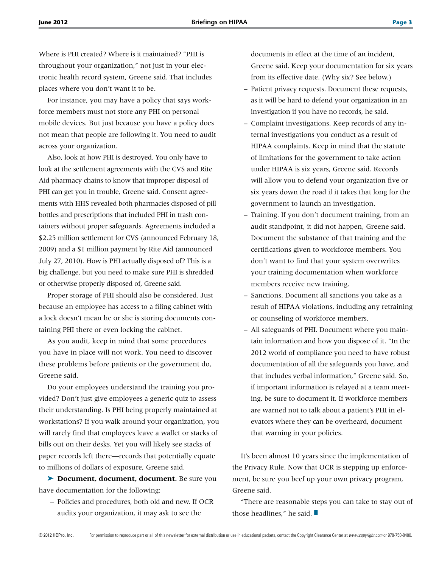Where is PHI created? Where is it maintained? "PHI is throughout your organization," not just in your electronic health record system, Greene said. That includes places where you don't want it to be.

For instance, you may have a policy that says workforce members must not store any PHI on personal mobile devices. But just because you have a policy does not mean that people are following it. You need to audit across your organization.

Also, look at how PHI is destroyed. You only have to look at the settlement agreements with the CVS and Rite Aid pharmacy chains to know that improper disposal of PHI can get you in trouble, Greene said. Consent agreements with HHS revealed both pharmacies disposed of pill bottles and prescriptions that included PHI in trash containers without proper safeguards. Agreements included a \$2.25 million settlement for CVS (announced February 18, 2009) and a \$1 million payment by Rite Aid (announced July 27, 2010). How is PHI actually disposed of? This is a big challenge, but you need to make sure PHI is shredded or otherwise properly disposed of, Greene said.

Proper storage of PHI should also be considered. Just because an employee has access to a filing cabinet with a lock doesn't mean he or she is storing documents containing PHI there or even locking the cabinet.

As you audit, keep in mind that some procedures you have in place will not work. You need to discover these problems before patients or the government do, Greene said.

Do your employees understand the training you provided? Don't just give employees a generic quiz to assess their understanding. Is PHI being properly maintained at workstations? If you walk around your organization, you will rarely find that employees leave a wallet or stacks of bills out on their desks. Yet you will likely see stacks of paper records left there—records that potentially equate to millions of dollars of exposure, Greene said.

➤ **Document, document, document.** Be sure you have documentation for the following:

– Policies and procedures, both old and new. If OCR audits your organization, it may ask to see the

documents in effect at the time of an incident, Greene said. Keep your documentation for six years from its effective date. (Why six? See below.)

- Patient privacy requests. Document these requests, as it will be hard to defend your organization in an investigation if you have no records, he said.
- Complaint investigations. Keep records of any internal investigations you conduct as a result of HIPAA complaints. Keep in mind that the statute of limitations for the government to take action under HIPAA is six years, Greene said. Records will allow you to defend your organization five or six years down the road if it takes that long for the government to launch an investigation.
- Training. If you don't document training, from an audit standpoint, it did not happen, Greene said. Document the substance of that training and the certifications given to workforce members. You don't want to find that your system overwrites your training documentation when workforce members receive new training.
- Sanctions. Document all sanctions you take as a result of HIPAA violations, including any retraining or counseling of workforce members.
- All safeguards of PHI. Document where you maintain information and how you dispose of it. "In the 2012 world of compliance you need to have robust documentation of all the safeguards you have, and that includes verbal information," Greene said. So, if important information is relayed at a team meeting, be sure to document it. If workforce members are warned not to talk about a patient's PHI in elevators where they can be overheard, document that warning in your policies.

It's been almost 10 years since the implementation of the Privacy Rule. Now that OCR is stepping up enforcement, be sure you beef up your own privacy program, Greene said.

"There are reasonable steps you can take to stay out of those headlines," he said.  $\blacksquare$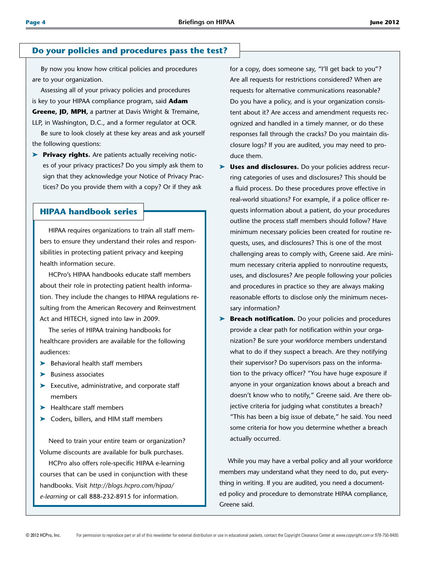#### **Do your policies and procedures pass the test?**

By now you know how critical policies and procedures are to your organization.

Assessing all of your privacy policies and procedures is key to your HIPAA compliance program, said **Adam Greene, JD, MPH,** a partner at Davis Wright & Tremaine, LLP, in Washington, D.C., and a former regulator at OCR.

Be sure to look closely at these key areas and ask yourself the following questions:

➤ **Privacy rights.** Are patients actually receiving notices of your privacy practices? Do you simply ask them to sign that they acknowledge your Notice of Privacy Practices? Do you provide them with a copy? Or if they ask

## **HIPAA handbook series**

HIPAA requires organizations to train all staff members to ensure they understand their roles and responsibilities in protecting patient privacy and keeping health information secure.

HCPro's HIPAA handbooks educate staff members about their role in protecting patient health information. They include the changes to HIPAA regulations resulting from the American Recovery and Reinvestment Act and HITECH, signed into law in 2009.

The series of HIPAA training handbooks for healthcare providers are available for the following audiences:

- ➤ Behavioral health staff members
- ➤ Business associates
- ➤ Executive, administrative, and corporate staff members
- ➤ Healthcare staff members
- ➤ Coders, billers, and HIM staff members

Need to train your entire team or organization? Volume discounts are available for bulk purchases.

HCPro also offers role-specific HIPAA e-learning courses that can be used in conjunction with these handbooks. Visit *http://blogs.hcpro.com/hipaa/ e-learning* or call 888-232-8915 for information.

for a copy, does someone say, "I'll get back to you"? Are all requests for restrictions considered? When are requests for alternative communications reasonable? Do you have a policy, and is your organization consistent about it? Are access and amendment requests recognized and handled in a timely manner, or do these responses fall through the cracks? Do you maintain disclosure logs? If you are audited, you may need to produce them.

- **Uses and disclosures.** Do your policies address recurring categories of uses and disclosures? This should be a fluid process. Do these procedures prove effective in real-world situations? For example, if a police officer requests information about a patient, do your procedures outline the process staff members should follow? Have minimum necessary policies been created for routine requests, uses, and disclosures? This is one of the most challenging areas to comply with, Greene said. Are minimum necessary criteria applied to nonroutine requests, uses, and disclosures? Are people following your policies and procedures in practice so they are always making reasonable efforts to disclose only the minimum necessary information?
- ▶ **Breach notification.** Do your policies and procedures provide a clear path for notification within your organization? Be sure your workforce members understand what to do if they suspect a breach. Are they notifying their supervisor? Do supervisors pass on the information to the privacy officer? "You have huge exposure if anyone in your organization knows about a breach and doesn't know who to notify," Greene said. Are there objective criteria for judging what constitutes a breach? "This has been a big issue of debate," he said. You need some criteria for how you determine whether a breach actually occurred.

While you may have a verbal policy and all your workforce members may understand what they need to do, put everything in writing. If you are audited, you need a documented policy and procedure to demonstrate HIPAA compliance, Greene said.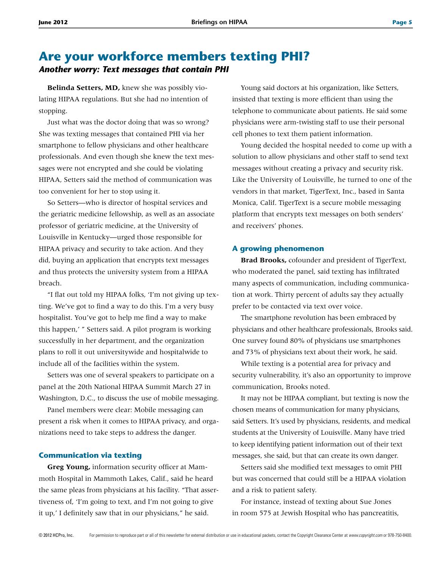# **Are your workforce members texting PHI?** *Another worry: Text messages that contain PHI*

**Belinda Setters, MD,** knew she was possibly violating HIPAA regulations. But she had no intention of stopping.

Just what was the doctor doing that was so wrong? She was texting messages that contained PHI via her smartphone to fellow physicians and other healthcare professionals. And even though she knew the text messages were not encrypted and she could be violating HIPAA, Setters said the method of communication was too convenient for her to stop using it.

So Setters—who is director of hospital services and the geriatric medicine fellowship, as well as an associate professor of geriatric medicine, at the University of Louisville in Kentucky—urged those responsible for HIPAA privacy and security to take action. And they did, buying an application that encrypts text messages and thus protects the university system from a HIPAA breach.

"I flat out told my HIPAA folks, 'I'm not giving up texting. We've got to find a way to do this. I'm a very busy hospitalist. You've got to help me find a way to make this happen,' " Setters said. A pilot program is working successfully in her department, and the organization plans to roll it out universitywide and hospitalwide to include all of the facilities within the system.

Setters was one of several speakers to participate on a panel at the 20th National HIPAA Summit March 27 in Washington, D.C., to discuss the use of mobile messaging.

Panel members were clear: Mobile messaging can present a risk when it comes to HIPAA privacy, and organizations need to take steps to address the danger.

#### **Communication via texting**

**Greg Young,** information security officer at Mammoth Hospital in Mammoth Lakes, Calif., said he heard the same pleas from physicians at his facility. "That assertiveness of, 'I'm going to text, and I'm not going to give it up,' I definitely saw that in our physicians," he said.

Young said doctors at his organization, like Setters, insisted that texting is more efficient than using the telephone to communicate about patients. He said some physicians were arm-twisting staff to use their personal cell phones to text them patient information.

Young decided the hospital needed to come up with a solution to allow physicians and other staff to send text messages without creating a privacy and security risk. Like the University of Louisville, he turned to one of the vendors in that market, TigerText, Inc., based in Santa Monica, Calif. TigerText is a secure mobile messaging platform that encrypts text messages on both senders' and receivers' phones.

#### **A growing phenomenon**

**Brad Brooks,** cofounder and president of TigerText, who moderated the panel, said texting has infiltrated many aspects of communication, including communication at work. Thirty percent of adults say they actually prefer to be contacted via text over voice.

The smartphone revolution has been embraced by physicians and other healthcare professionals, Brooks said. One survey found 80% of physicians use smartphones and 73% of physicians text about their work, he said.

While texting is a potential area for privacy and security vulnerability, it's also an opportunity to improve communication, Brooks noted.

It may not be HIPAA compliant, but texting is now the chosen means of communication for many physicians, said Setters. It's used by physicians, residents, and medical students at the University of Louisville. Many have tried to keep identifying patient information out of their text messages, she said, but that can create its own danger.

Setters said she modified text messages to omit PHI but was concerned that could still be a HIPAA violation and a risk to patient safety.

For instance, instead of texting about Sue Jones in room 575 at Jewish Hospital who has pancreatitis,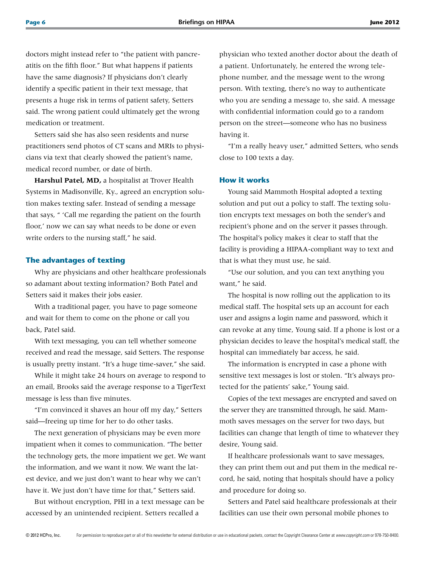doctors might instead refer to "the patient with pancreatitis on the fifth floor." But what happens if patients have the same diagnosis? If physicians don't clearly identify a specific patient in their text message, that presents a huge risk in terms of patient safety, Setters said. The wrong patient could ultimately get the wrong medication or treatment.

Setters said she has also seen residents and nurse practitioners send photos of CT scans and MRIs to physicians via text that clearly showed the patient's name, medical record number, or date of birth.

**Harshul Patel, MD,** a hospitalist at Trover Health Systems in Madisonville, Ky., agreed an encryption solution makes texting safer. Instead of sending a message that says, " 'Call me regarding the patient on the fourth floor,' now we can say what needs to be done or even write orders to the nursing staff," he said.

#### **The advantages of texting**

Why are physicians and other healthcare professionals so adamant about texting information? Both Patel and Setters said it makes their jobs easier.

With a traditional pager, you have to page someone and wait for them to come on the phone or call you back, Patel said.

With text messaging, you can tell whether someone received and read the message, said Setters. The response is usually pretty instant. "It's a huge time-saver," she said.

While it might take 24 hours on average to respond to an email, Brooks said the average response to a TigerText message is less than five minutes.

"I'm convinced it shaves an hour off my day," Setters said—freeing up time for her to do other tasks.

The next generation of physicians may be even more impatient when it comes to communication. "The better the technology gets, the more impatient we get. We want the information, and we want it now. We want the latest device, and we just don't want to hear why we can't have it. We just don't have time for that," Setters said.

But without encryption, PHI in a text message can be accessed by an unintended recipient. Setters recalled a

physician who texted another doctor about the death of a patient. Unfortunately, he entered the wrong telephone number, and the message went to the wrong person. With texting, there's no way to authenticate who you are sending a message to, she said. A message with confidential information could go to a random person on the street—someone who has no business having it.

"I'm a really heavy user," admitted Setters, who sends close to 100 texts a day.

#### **How it works**

Young said Mammoth Hospital adopted a texting solution and put out a policy to staff. The texting solution encrypts text messages on both the sender's and recipient's phone and on the server it passes through. The hospital's policy makes it clear to staff that the facility is providing a HIPAA-compliant way to text and that is what they must use, he said.

"Use our solution, and you can text anything you want," he said.

The hospital is now rolling out the application to its medical staff. The hospital sets up an account for each user and assigns a login name and password, which it can revoke at any time, Young said. If a phone is lost or a physician decides to leave the hospital's medical staff, the hospital can immediately bar access, he said.

The information is encrypted in case a phone with sensitive text messages is lost or stolen. "It's always protected for the patients' sake," Young said.

Copies of the text messages are encrypted and saved on the server they are transmitted through, he said. Mammoth saves messages on the server for two days, but facilities can change that length of time to whatever they desire, Young said.

If healthcare professionals want to save messages, they can print them out and put them in the medical record, he said, noting that hospitals should have a policy and procedure for doing so.

Setters and Patel said healthcare professionals at their facilities can use their own personal mobile phones to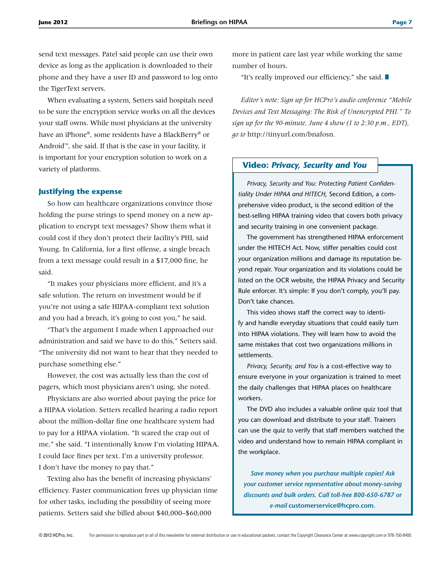send text messages. Patel said people can use their own device as long as the application is downloaded to their phone and they have a user ID and password to log onto the TigerText servers.

When evaluating a system, Setters said hospitals need to be sure the encryption service works on all the devices your staff owns. While most physicians at the university have an iPhone®, some residents have a BlackBerry® or Android™, she said. If that is the case in your facility, it is important for your encryption solution to work on a variety of platforms.

#### **Justifying the expense**

So how can healthcare organizations convince those holding the purse strings to spend money on a new application to encrypt text messages? Show them what it could cost if they don't protect their facility's PHI, said Young. In California, for a first offense, a single breach from a text message could result in a \$17,000 fine, he said.

"It makes your physicians more efficient, and it's a safe solution. The return on investment would be if you're not using a safe HIPAA-compliant text solution and you had a breach, it's going to cost you," he said.

"That's the argument I made when I approached our administration and said we have to do this," Setters said. "The university did not want to hear that they needed to purchase something else."

However, the cost was actually less than the cost of pagers, which most physicians aren't using, she noted.

Physicians are also worried about paying the price for a HIPAA violation. Setters recalled hearing a radio report about the million-dollar fine one healthcare system had to pay for a HIPAA violation. "It scared the crap out of me," she said. "I intentionally know I'm violating HIPAA. I could face fines per text. I'm a university professor. I don't have the money to pay that."

Texting also has the benefit of increasing physicians' efficiency. Faster communication frees up physician time for other tasks, including the possibility of seeing more patients. Setters said she billed about \$40,000–\$60,000

more in patient care last year while working the same number of hours.

"It's really improved our efficiency," she said.  $\blacksquare$ 

*Editor's note: Sign up for HCPro's audio conference "Mobile Devices and Text Messaging: The Risk of Unencrypted PHI." To sign up for the 90-minute, June 4 show (1 to 2:30 p.m., EDT), go to* http://tinyurl.com/bnafosn*.*

### **Video:** *Privacy, Security and You*

*Privacy, Security and You: Protecting Patient Confidentiality Under HIPAA and HITECH,* Second Edition, a comprehensive video product, is the second edition of the best-selling HIPAA training video that covers both privacy and security training in one convenient package.

The government has strengthened HIPAA enforcement under the HITECH Act. Now, stiffer penalties could cost your organization millions and damage its reputation beyond repair. Your organization and its violations could be listed on the OCR website, the HIPAA Privacy and Security Rule enforcer. It's simple: If you don't comply, you'll pay. Don't take chances.

This video shows staff the correct way to identify and handle everyday situations that could easily turn into HIPAA violations. They will learn how to avoid the same mistakes that cost two organizations millions in settlements.

*Privacy, Security, and You* is a cost-effective way to ensure everyone in your organization is trained to meet the daily challenges that HIPAA places on healthcare workers.

The DVD also includes a valuable online quiz tool that you can download and distribute to your staff. Trainers can use the quiz to verify that staff members watched the video and understand how to remain HIPAA compliant in the workplace.

*Save money when you purchase multiple copies! Ask your customer service representative about money-saving discounts and bulk orders. Call toll-free 800-650-6787 or e-mail* **customerservice@hcpro.com.**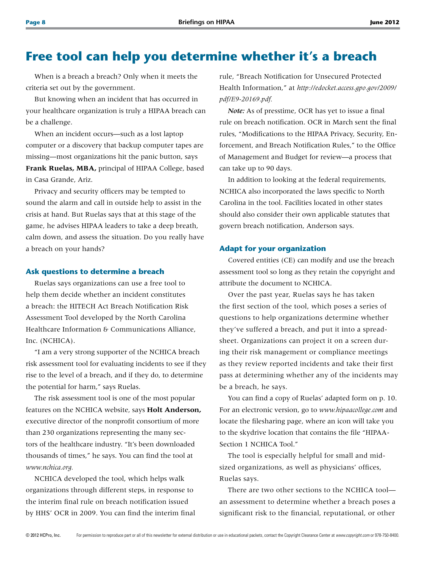# **Free tool can help you determine whether it's a breach**

When is a breach a breach? Only when it meets the criteria set out by the government.

But knowing when an incident that has occurred in your healthcare organization is truly a HIPAA breach can be a challenge.

When an incident occurs—such as a lost laptop computer or a discovery that backup computer tapes are missing—most organizations hit the panic button, says **Frank Ruelas, MBA,** principal of HIPAA College, based in Casa Grande, Ariz.

Privacy and security officers may be tempted to sound the alarm and call in outside help to assist in the crisis at hand. But Ruelas says that at this stage of the game, he advises HIPAA leaders to take a deep breath, calm down, and assess the situation. Do you really have a breach on your hands?

#### **Ask questions to determine a breach**

Ruelas says organizations can use a free tool to help them decide whether an incident constitutes a breach: the HITECH Act Breach Notification Risk Assessment Tool developed by the North Carolina Healthcare Information & Communications Alliance, Inc. (NCHICA).

"I am a very strong supporter of the NCHICA breach risk assessment tool for evaluating incidents to see if they rise to the level of a breach, and if they do, to determine the potential for harm," says Ruelas.

The risk assessment tool is one of the most popular features on the NCHICA website, says **Holt Anderson,** executive director of the nonprofit consortium of more than 230 organizations representing the many sectors of the healthcare industry. "It's been downloaded thousands of times," he says. You can find the tool at *www.nchica.org.*

NCHICA developed the tool, which helps walk organizations through different steps, in response to the interim final rule on breach notification issued by HHS' OCR in 2009. You can find the interim final

rule, "Breach Notification for Unsecured Protected Health Information," at *http://edocket.access.gpo.gov/2009/ pdf/E9-20169.pdf.*

*Note:* As of presstime, OCR has yet to issue a final rule on breach notification. OCR in March sent the final rules, "Modifications to the HIPAA Privacy, Security, Enforcement, and Breach Notification Rules," to the Office of Management and Budget for review—a process that can take up to 90 days.

In addition to looking at the federal requirements, NCHICA also incorporated the laws specific to North Carolina in the tool. Facilities located in other states should also consider their own applicable statutes that govern breach notification, Anderson says.

#### **Adapt for your organization**

Covered entities (CE) can modify and use the breach assessment tool so long as they retain the copyright and attribute the document to NCHICA.

Over the past year, Ruelas says he has taken the first section of the tool, which poses a series of questions to help organizations determine whether they've suffered a breach, and put it into a spreadsheet. Organizations can project it on a screen during their risk management or compliance meetings as they review reported incidents and take their first pass at determining whether any of the incidents may be a breach, he says.

You can find a copy of Ruelas' adapted form on p. 10. For an electronic version, go to *www.hipaacollege.com* and locate the filesharing page, where an icon will take you to the skydrive location that contains the file "HIPAA-Section 1 NCHICA Tool."

The tool is especially helpful for small and midsized organizations, as well as physicians' offices, Ruelas says.

There are two other sections to the NCHICA tool an assessment to determine whether a breach poses a significant risk to the financial, reputational, or other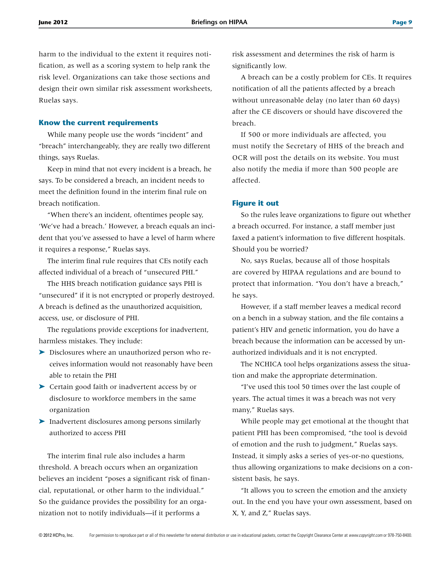harm to the individual to the extent it requires notification, as well as a scoring system to help rank the risk level. Organizations can take those sections and design their own similar risk assessment worksheets, Ruelas says.

#### **Know the current requirements**

While many people use the words "incident" and "breach" interchangeably, they are really two different things, says Ruelas.

Keep in mind that not every incident is a breach, he says. To be considered a breach, an incident needs to meet the definition found in the interim final rule on breach notification.

"When there's an incident, oftentimes people say, 'We've had a breach.' However, a breach equals an incident that you've assessed to have a level of harm where it requires a response," Ruelas says.

The interim final rule requires that CEs notify each affected individual of a breach of "unsecured PHI."

The HHS breach notification guidance says PHI is "unsecured" if it is not encrypted or properly destroyed. A breach is defined as the unauthorized acquisition, access, use, or disclosure of PHI.

The regulations provide exceptions for inadvertent, harmless mistakes. They include:

- ➤ Disclosures where an unauthorized person who receives information would not reasonably have been able to retain the PHI
- ➤ Certain good faith or inadvertent access by or disclosure to workforce members in the same organization
- ➤ Inadvertent disclosures among persons similarly authorized to access PHI

The interim final rule also includes a harm threshold. A breach occurs when an organization believes an incident "poses a significant risk of financial, reputational, or other harm to the individual." So the guidance provides the possibility for an organization not to notify individuals—if it performs a

risk assessment and determines the risk of harm is significantly low.

A breach can be a costly problem for CEs. It requires notification of all the patients affected by a breach without unreasonable delay (no later than 60 days) after the CE discovers or should have discovered the breach.

If 500 or more individuals are affected, you must notify the Secretary of HHS of the breach and OCR will post the details on its website. You must also notify the media if more than 500 people are affected.

#### **Figure it out**

So the rules leave organizations to figure out whether a breach occurred. For instance, a staff member just faxed a patient's information to five different hospitals. Should you be worried?

No, says Ruelas, because all of those hospitals are covered by HIPAA regulations and are bound to protect that information. "You don't have a breach," he says.

However, if a staff member leaves a medical record on a bench in a subway station, and the file contains a patient's HIV and genetic information, you do have a breach because the information can be accessed by unauthorized individuals and it is not encrypted.

The NCHICA tool helps organizations assess the situation and make the appropriate determination.

"I've used this tool 50 times over the last couple of years. The actual times it was a breach was not very many," Ruelas says.

While people may get emotional at the thought that patient PHI has been compromised, "the tool is devoid of emotion and the rush to judgment," Ruelas says. Instead, it simply asks a series of yes-or-no questions, thus allowing organizations to make decisions on a consistent basis, he says.

"It allows you to screen the emotion and the anxiety out. In the end you have your own assessment, based on X, Y, and Z," Ruelas says.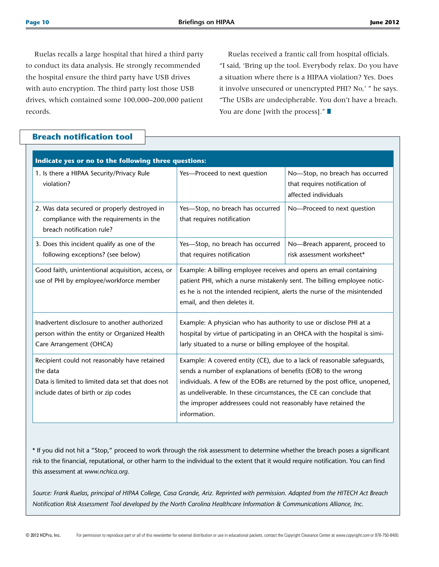Ruelas recalls a large hospital that hired a third party to conduct its data analysis. He strongly recommended the hospital ensure the third party have USB drives with auto encryption. The third party lost those USB drives, which contained some 100,000–200,000 patient records.

Ruelas received a frantic call from hospital officials. "I said, 'Bring up the tool. Everybody relax. Do you have a situation where there is a HIPAA violation? Yes. Does it involve unsecured or unencrypted PHI? No,' " he says. "The USBs are undecipherable. You don't have a breach. You are done [with the process]."  $\blacksquare$ 

## **Breach notification tool**

| Indicate yes or no to the following three questions:                                                                                                 |                                                                                                                                                                                                                                                                                                                                                                               |                                                                                          |  |  |  |  |  |
|------------------------------------------------------------------------------------------------------------------------------------------------------|-------------------------------------------------------------------------------------------------------------------------------------------------------------------------------------------------------------------------------------------------------------------------------------------------------------------------------------------------------------------------------|------------------------------------------------------------------------------------------|--|--|--|--|--|
| 1. Is there a HIPAA Security/Privacy Rule<br>violation?                                                                                              | Yes-Proceed to next question                                                                                                                                                                                                                                                                                                                                                  | No-Stop, no breach has occurred<br>that requires notification of<br>affected individuals |  |  |  |  |  |
| 2. Was data secured or properly destroyed in<br>compliance with the requirements in the<br>breach notification rule?                                 | Yes-Stop, no breach has occurred<br>that requires notification                                                                                                                                                                                                                                                                                                                | No-Proceed to next question                                                              |  |  |  |  |  |
| 3. Does this incident qualify as one of the<br>following exceptions? (see below)                                                                     | Yes-Stop, no breach has occurred<br>that requires notification                                                                                                                                                                                                                                                                                                                | No-Breach apparent, proceed to<br>risk assessment worksheet*                             |  |  |  |  |  |
| Good faith, unintentional acquisition, access, or<br>use of PHI by employee/workforce member                                                         | Example: A billing employee receives and opens an email containing<br>patient PHI, which a nurse mistakenly sent. The billing employee notic-<br>es he is not the intended recipient, alerts the nurse of the misintended<br>email, and then deletes it.                                                                                                                      |                                                                                          |  |  |  |  |  |
| Inadvertent disclosure to another authorized<br>person within the entity or Organized Health<br>Care Arrangement (OHCA)                              | Example: A physician who has authority to use or disclose PHI at a<br>hospital by virtue of participating in an OHCA with the hospital is simi-<br>larly situated to a nurse or billing employee of the hospital.                                                                                                                                                             |                                                                                          |  |  |  |  |  |
| Recipient could not reasonably have retained<br>the data<br>Data is limited to limited data set that does not<br>include dates of birth or zip codes | Example: A covered entity (CE), due to a lack of reasonable safequards,<br>sends a number of explanations of benefits (EOB) to the wrong<br>individuals. A few of the EOBs are returned by the post office, unopened,<br>as undeliverable. In these circumstances, the CE can conclude that<br>the improper addressees could not reasonably have retained the<br>information. |                                                                                          |  |  |  |  |  |

\* If you did not hit a "Stop," proceed to work through the risk assessment to determine whether the breach poses a significant risk to the financial, reputational, or other harm to the individual to the extent that it would require notification. You can find this assessment at *www.nchica.org.*

*Source: Frank Ruelas, principal of HIPAA College, Casa Grande, Ariz. Reprinted with permission. Adapted from the HITECH Act Breach Notification Risk Assessment Tool developed by the North Carolina Healthcare Information & Communications Alliance, Inc.*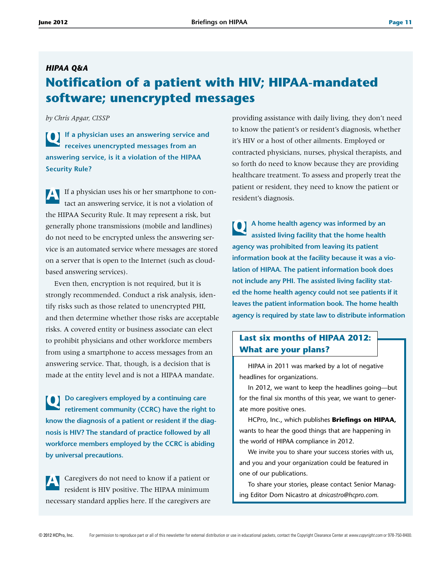# *HIPAA Q&A* **Notification of a patient with HIV; HIPAA-mandated software; unencrypted messages**

*by Chris Apgar, CISSP*

**Q** If a physician uses an answering service and **receives unencrypted messages from an answering service, is it a violation of the HIPAA Security Rule?**

**A** If a physician uses his or her smartphone to contact an answering service, it is not a violation of the HIPAA Security Rule. It may represent a risk, but generally phone transmissions (mobile and landlines) do not need to be encrypted unless the answering service is an automated service where messages are stored on a server that is open to the Internet (such as cloudbased answering services).

Even then, encryption is not required, but it is strongly recommended. Conduct a risk analysis, identify risks such as those related to unencrypted PHI, and then determine whether those risks are acceptable risks. A covered entity or business associate can elect to prohibit physicians and other workforce members from using a smartphone to access messages from an answering service. That, though, is a decision that is made at the entity level and is not a HIPAA mandate.

**Q Do caregivers employed by a continuing care retirement community (CCRC) have the right to know the diagnosis of a patient or resident if the diagnosis is HIV? The standard of practice followed by all workforce members employed by the CCRC is abiding by universal precautions.**

**A** Caregivers do not need to know if a patient or resident is HIV positive. The HIPAA minimum necessary standard applies here. If the caregivers are providing assistance with daily living, they don't need to know the patient's or resident's diagnosis, whether it's HIV or a host of other ailments. Employed or contracted physicians, nurses, physical therapists, and so forth do need to know because they are providing healthcare treatment. To assess and properly treat the patient or resident, they need to know the patient or resident's diagnosis.

**Q A home health agency was informed by an assisted living facility that the home health agency was prohibited from leaving its patient information book at the facility because it was a violation of HIPAA. The patient information book does not include any PHI. The assisted living facility stated the home health agency could not see patients if it leaves the patient information book. The home health agency is required by state law to distribute information** 

# **Last six months of HIPAA 2012: What are your plans?**

HIPAA in 2011 was marked by a lot of negative headlines for organizations.

In 2012, we want to keep the headlines going—but for the final six months of this year, we want to generate more positive ones.

HCPro, Inc., which publishes **Briefings on HIPAA,** wants to hear the good things that are happening in the world of HIPAA compliance in 2012.

We invite you to share your success stories with us, and you and your organization could be featured in one of our publications.

To share your stories, please contact Senior Managing Editor Dom Nicastro at *dnicastro@hcpro.com.*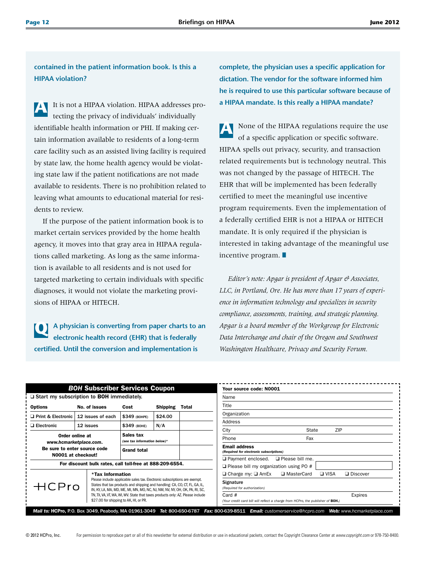**contained in the patient information book. Is this a HIPAA violation?**

It is not a HIPAA violation. HIPAA addresses protecting the privacy of individuals' individually identifiable health information or PHI. If making certain information available to residents of a long-term care facility such as an assisted living facility is required by state law, the home health agency would be violating state law if the patient notifications are not made available to residents. There is no prohibition related to leaving what amounts to educational material for residents to review.

If the purpose of the patient information book is to market certain services provided by the home health agency, it moves into that gray area in HIPAA regulations called marketing. As long as the same information is available to all residents and is not used for targeted marketing to certain individuals with specific diagnoses, it would not violate the marketing provisions of HIPAA or HITECH.

**Q A physician is converting from paper charts to an electronic health record (EHR) that is federally certified. Until the conversion and implementation is** 

**complete, the physician uses a specific application for dictation. The vendor for the software informed him he is required to use this particular software because of a HIPAA mandate. Is this really a HIPAA mandate?**

**A** None of the HIPAA regulations require the use of a specific application or specific software. HIPAA spells out privacy, security, and transaction related requirements but is technology neutral. This was not changed by the passage of HITECH. The EHR that will be implemented has been federally certified to meet the meaningful use incentive program requirements. Even the implementation of a federally certified EHR is not a HIPAA or HITECH mandate. It is only required if the physician is interested in taking advantage of the meaningful use incentive program.  $\blacksquare$ 

*Editor's note: Apgar is president of Apgar & Associates, LLC, in Portland, Ore. He has more than 17 years of experience in information technology and specializes in security compliance, assessments, training, and strategic planning. Apgar is a board member of the Workgroup for Electronic Data Interchange and chair of the Oregon and Southwest Washington Healthcare, Privacy and Security Forum.*

| <b>BOH Subscriber Services Coupon</b>                                                                                                                                                                                                                                |                                                          |                                                                                |                 | Your source code: N0001<br>Name                                                           |                                                                                       |                        |  |
|----------------------------------------------------------------------------------------------------------------------------------------------------------------------------------------------------------------------------------------------------------------------|----------------------------------------------------------|--------------------------------------------------------------------------------|-----------------|-------------------------------------------------------------------------------------------|---------------------------------------------------------------------------------------|------------------------|--|
| $\Box$ Start my subscription to BOH immediately.                                                                                                                                                                                                                     |                                                          |                                                                                |                 |                                                                                           |                                                                                       |                        |  |
| <b>Options</b>                                                                                                                                                                                                                                                       | No. of issues                                            | Cost                                                                           | <b>Shipping</b> | Total                                                                                     | Title                                                                                 |                        |  |
| n Print & Electronic                                                                                                                                                                                                                                                 | 12 issues of each                                        | \$349 (BOHPE)                                                                  | \$24.00         |                                                                                           | Organization                                                                          |                        |  |
| $\Box$ Electronic                                                                                                                                                                                                                                                    | 12 issues                                                | \$349 (BOHE)                                                                   | N/A             |                                                                                           | Address                                                                               |                        |  |
|                                                                                                                                                                                                                                                                      |                                                          |                                                                                |                 |                                                                                           | City                                                                                  | ZIP<br>State           |  |
| Sales tax<br>Order online at<br>(see tax information below)*<br>www.hcmarketplace.com.<br>Be sure to enter source code<br><b>Grand total</b><br>N0001 at checkout!                                                                                                   |                                                          |                                                                                |                 | Phone                                                                                     | Fax                                                                                   |                        |  |
|                                                                                                                                                                                                                                                                      |                                                          |                                                                                |                 | <b>Email address</b><br>(Required for electronic subscriptions)                           |                                                                                       |                        |  |
|                                                                                                                                                                                                                                                                      | For discount bulk rates, call toll-free at 888-209-6554. |                                                                                |                 |                                                                                           | $\Box$ Payment enclosed.<br>$\Box$ Please bill my organization using PO #             | $\Box$ Please bill me. |  |
| *Tax Information<br>Please include applicable sales tax. Electronic subscriptions are exempt.<br>HCPro<br>States that tax products and shipping and handling: CA, CO, CT, FL, GA, IL,<br>IN, KY, LA, MA, MD, ME, MI, MN, MO, NC, NJ, NM, NV, NY, OH, OK, PA, RI, SC, |                                                          |                                                                                |                 | $\Box$ Charge my: $\Box$ AmEx                                                             | $\n  U U U U U U U U U U U U U U U U U U U U U U U U U U U U U U U <$<br>□ MasterCard | <b>Q</b> Discover      |  |
|                                                                                                                                                                                                                                                                      |                                                          |                                                                                |                 | Signature<br>(Required for authorization)                                                 |                                                                                       |                        |  |
| \$27.00 for shipping to AK, HI, or PR.                                                                                                                                                                                                                               |                                                          | TN, TX, VA, VT, WA, WI, WV. State that taxes products only: AZ. Please include |                 | Card #<br>(Your credit card bill will reflect a charge from HCPro, the publisher of BOH.) |                                                                                       | Expires                |  |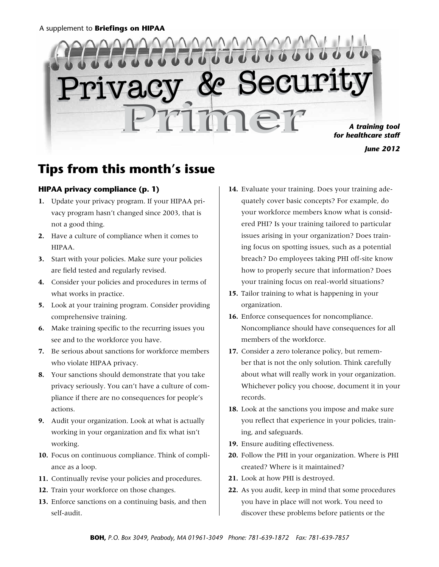

*June 2012*

# **Tips from this month's issue**

## **HIPAA privacy compliance (p. 1)**

- **1.**  Update your privacy program. If your HIPAA privacy program hasn't changed since 2003, that is not a good thing.
- **2.** Have a culture of compliance when it comes to HIPAA.
- **3.** Start with your policies. Make sure your policies are field tested and regularly revised.
- **4.**  Consider your policies and procedures in terms of what works in practice.
- **5.** Look at your training program. Consider providing comprehensive training.
- **6.** Make training specific to the recurring issues you see and to the workforce you have.
- **7.** Be serious about sanctions for workforce members who violate HIPAA privacy.
- **8.** Your sanctions should demonstrate that you take privacy seriously. You can't have a culture of compliance if there are no consequences for people's actions.
- **9.** Audit your organization. Look at what is actually working in your organization and fix what isn't working.
- **10.** Focus on continuous compliance. Think of compliance as a loop.
- **11.** Continually revise your policies and procedures.
- **12.** Train your workforce on those changes.
- **13.** Enforce sanctions on a continuing basis, and then self-audit.
- **14.** Evaluate your training. Does your training adequately cover basic concepts? For example, do your workforce members know what is considered PHI? Is your training tailored to particular issues arising in your organization? Does training focus on spotting issues, such as a potential breach? Do employees taking PHI off-site know how to properly secure that information? Does your training focus on real-world situations?
- **15.** Tailor training to what is happening in your organization.
- **16.** Enforce consequences for noncompliance. Noncompliance should have consequences for all members of the workforce.
- **17.** Consider a zero tolerance policy, but remember that is not the only solution. Think carefully about what will really work in your organization. Whichever policy you choose, document it in your records.
- **18.** Look at the sanctions you impose and make sure you reflect that experience in your policies, training, and safeguards.
- **19.** Ensure auditing effectiveness.
- **20.** Follow the PHI in your organization. Where is PHI created? Where is it maintained?
- **21.** Look at how PHI is destroyed.
- **22.** As you audit, keep in mind that some procedures you have in place will not work. You need to discover these problems before patients or the